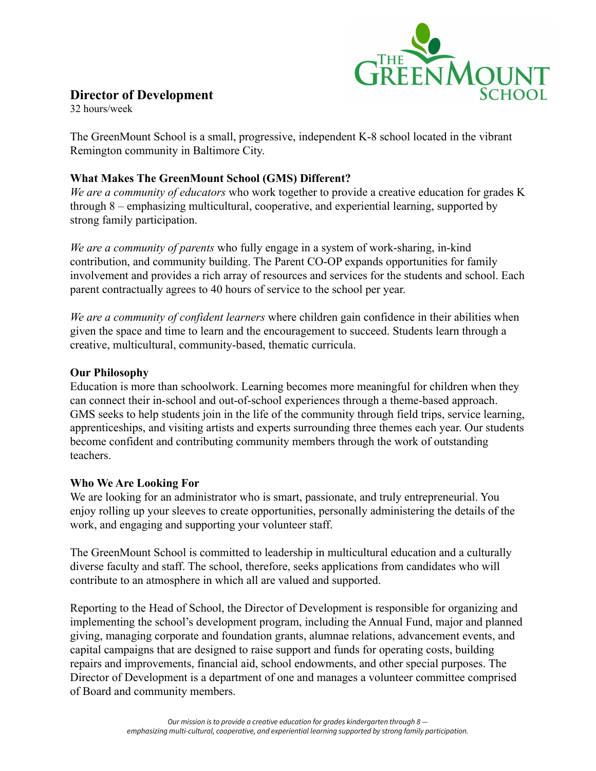

# **Director of Development**

32 hours/week

The GreenMount School is a small, progressive, independent K-8 school located in the vibrant Remington community in Baltimore City.

## **What Makes The GreenMount School (GMS) Different?**

*We are a community of educators* who work together to provide a creative education for grades K through 8 – emphasizing multicultural, cooperative, and experiential learning, supported by strong family participation.

*We are a community of parents* who fully engage in a system of work-sharing, in-kind contribution, and community building. The Parent CO-OP expands opportunities for family involvement and provides a rich array of resources and services for the students and school. Each parent contractually agrees to 40 hours of service to the school per year.

*We are a community of confident learners* where children gain confidence in their abilities when given the space and time to learn and the encouragement to succeed. Students learn through a creative, multicultural, community-based, thematic curricula.

### **Our Philosophy**

Education is more than schoolwork. Learning becomes more meaningful for children when they can connect their in-school and out-of-school experiences through a theme-based approach. GMS seeks to help students join in the life of the community through field trips, service learning, apprenticeships, and visiting artists and experts surrounding three themes each year. Our students become confident and contributing community members through the work of outstanding teachers.

### **Who We Are Looking For**

We are looking for an administrator who is smart, passionate, and truly entrepreneurial. You enjoy rolling up your sleeves to create opportunities, personally administering the details of the work, and engaging and supporting your volunteer staff.

The GreenMount School is committed to leadership in multicultural education and a culturally diverse faculty and staff. The school, therefore, seeks applications from candidates who will contribute to an atmosphere in which all are valued and supported.

Reporting to the Head of School, the Director of Development is responsible for organizing and implementing the school's development program, including the Annual Fund, major and planned giving, managing corporate and foundation grants, alumnae relations, advancement events, and capital campaigns that are designed to raise support and funds for operating costs, building repairs and improvements, financial aid, school endowments, and other special purposes. The Director of Development is a department of one and manages a volunteer committee comprised of Board and community members.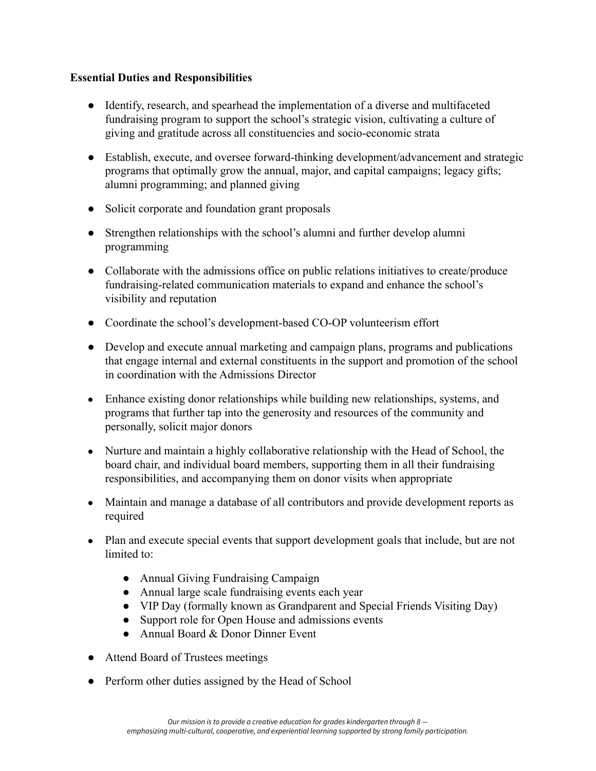## **Essential Duties and Responsibilities**

- Identify, research, and spearhead the implementation of a diverse and multifaceted fundraising program to support the school's strategic vision, cultivating a culture of giving and gratitude across all constituencies and socio-economic strata
- Establish, execute, and oversee forward-thinking development/advancement and strategic programs that optimally grow the annual, major, and capital campaigns; legacy gifts; alumni programming; and planned giving
- Solicit corporate and foundation grant proposals
- Strengthen relationships with the school's alumni and further develop alumni programming
- Collaborate with the admissions office on public relations initiatives to create/produce fundraising-related communication materials to expand and enhance the school's visibility and reputation
- Coordinate the school's development-based CO-OP volunteerism effort
- Develop and execute annual marketing and campaign plans, programs and publications that engage internal and external constituents in the support and promotion of the school in coordination with the Admissions Director
- **●** Enhance existing donor relationships while building new relationships, systems, and programs that further tap into the generosity and resources of the community and personally, solicit major donors
- **●** Nurture and maintain a highly collaborative relationship with the Head of School, the board chair, and individual board members, supporting them in all their fundraising responsibilities, and accompanying them on donor visits when appropriate
- **●** Maintain and manage a database of all contributors and provide development reports as required
- Plan and execute special events that support development goals that include, but are not limited to:
	- *●* Annual Giving Fundraising Campaign
	- *●* Annual large scale fundraising events each year
	- *●* VIP Day (formally known as Grandparent and Special Friends Visiting Day)
	- *●* Support role for Open House and admissions events
	- *●* Annual Board & Donor Dinner Event
- Attend Board of Trustees meetings
- Perform other duties assigned by the Head of School